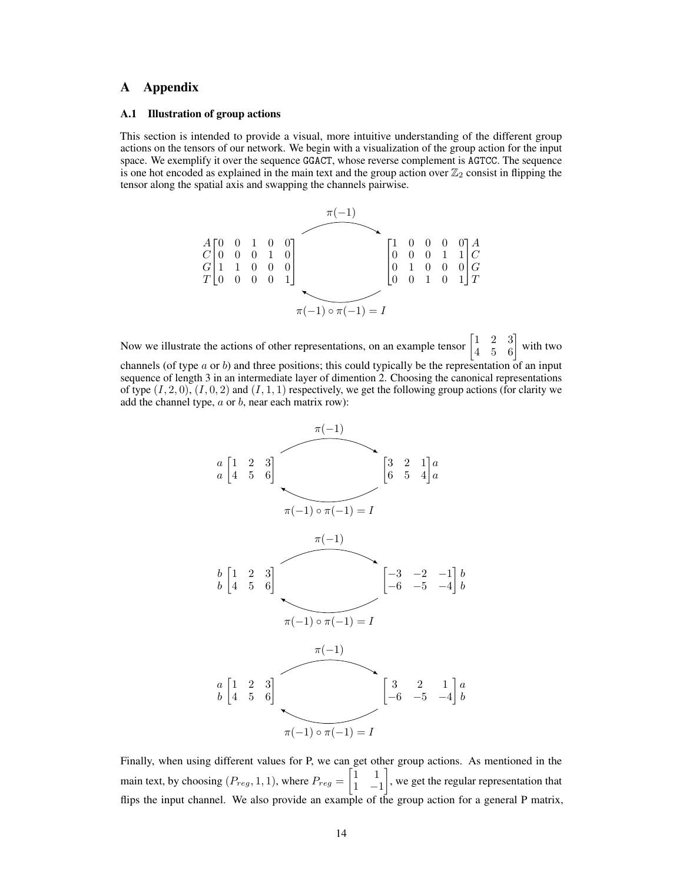# A Appendix

## A.1 Illustration of group actions

This section is intended to provide a visual, more intuitive understanding of the different group actions on the tensors of our network. We begin with a visualization of the group action for the input space. We exemplify it over the sequence GGACT, whose reverse complement is AGTCC. The sequence is one hot encoded as explained in the main text and the group action over  $\mathbb{Z}_2$  consist in flipping the tensor along the spatial axis and swapping the channels pairwise.



Now we illustrate the actions of other representations, on an example tensor  $\begin{bmatrix} 1 & 2 & 3 \\ 4 & 5 & 6 \end{bmatrix}$  with two channels (of type  $a$  or  $b$ ) and three positions; this could typically be the representation of an input sequence of length 3 in an intermediate layer of dimention 2. Choosing the canonical representations of type  $(I, 2, 0)$ ,  $(I, 0, 2)$  and  $(I, 1, 1)$  respectively, we get the following group actions (for clarity we add the channel type,  $a$  or  $b$ , near each matrix row):



Finally, when using different values for P, we can get other group actions. As mentioned in the main text, by choosing  $(P_{reg}, 1, 1)$ , where  $P_{reg} = \begin{bmatrix} 1 & 1 \\ 1 & -1 \end{bmatrix}$ 1 −1 , we get the regular representation that flips the input channel. We also provide an example of the group action for a general P matrix,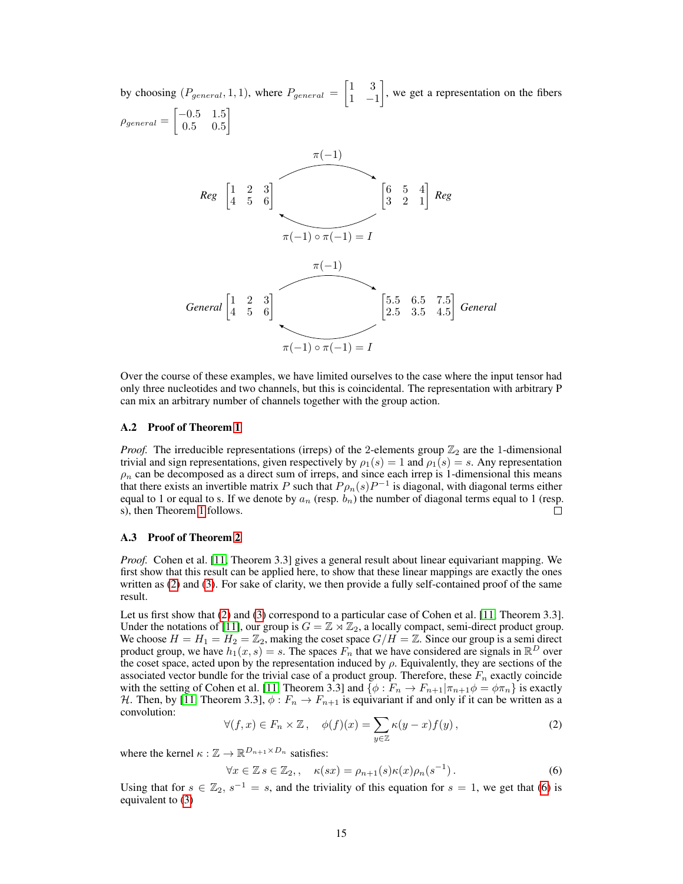by choosing  $(P_{general}, 1, 1)$ , where  $P_{general} = \begin{bmatrix} 1 & 3 \\ 1 & -1 \end{bmatrix}$ 1 −1 , we get a representation on the fibers  $\rho_{general} = \begin{bmatrix} -0.5 & 1.5 \\ 0.5 & 0.5 \end{bmatrix}$ 0.5 0.5 1  $\begin{bmatrix} 1 & 2 & 3 \\ 4 & 5 & 6 \end{bmatrix}$  $[3 \begin{bmatrix} 1 & 2 & 3 \\ 4 & 5 & 6 \end{bmatrix}$   $[6 \begin{bmatrix} 6 & 5 & 4 \\ 3 & 2 & 1 \end{bmatrix}$  *Reg*  $\pi(-1)$  $\pi(-1) \circ \pi(-1) = I$  $\begin{bmatrix} 1 & 2 & 3 \\ 4 & 5 & 6 \end{bmatrix}$ 5.5 6.5 7.5 2.5 3.5 4.5 *General*  $\begin{bmatrix} 1 & 2 & 3 \\ 4 & 5 & 6 \end{bmatrix}$   $\qquad \qquad \begin{bmatrix} 5.5 & 6.5 & 7.5 \\ 2.5 & 3.5 & 4.5 \end{bmatrix}$  *General*  $\pi(-1)$  $\pi(-1) \circ \pi(-1) = I$ 

Over the course of these examples, we have limited ourselves to the case where the input tensor had only three nucleotides and two channels, but this is coincidental. The representation with arbitrary P can mix an arbitrary number of channels together with the group action.

## A.2 Proof of Theorem 1

*Proof.* The irreducible representations (irreps) of the 2-elements group  $\mathbb{Z}_2$  are the 1-dimensional trivial and sign representations, given respectively by  $\rho_1(s) = 1$  and  $\rho_1(s) = s$ . Any representation  $\rho_n$  can be decomposed as a direct sum of irreps, and since each irrep is 1-dimensional this means that there exists an invertible matrix P such that  $P_{\rho_n}(s)P^{-1}$  is diagonal, with diagonal terms either equal to 1 or equal to s. If we denote by  $a_n$  (resp.  $b_n$ ) the number of diagonal terms equal to 1 (resp. s), then Theorem 1 follows.  $\Box$ 

## A.3 Proof of Theorem 2

*Proof.* Cohen et al. [11, Theorem 3.3] gives a general result about linear equivariant mapping. We first show that this result can be applied here, to show that these linear mappings are exactly the ones written as (2) and (3). For sake of clarity, we then provide a fully self-contained proof of the same result.

Let us first show that (2) and (3) correspond to a particular case of Cohen et al. [11, Theorem 3.3]. Under the notations of [11], our group is  $G = \mathbb{Z} \rtimes \mathbb{Z}_2$ , a locally compact, semi-direct product group. We choose  $H = H_1 = H_2 = \mathbb{Z}_2$ , making the coset space  $G/H = \mathbb{Z}$ . Since our group is a semi direct product group, we have  $h_1(x, s) = s$ . The spaces  $F_n$  that we have considered are signals in  $\mathbb{R}^D$  over the coset space, acted upon by the representation induced by  $\rho$ . Equivalently, they are sections of the associated vector bundle for the trivial case of a product group. Therefore, these  $F_n$  exactly coincide with the setting of Cohen et al. [11, Theorem 3.3] and  $\{\phi: F_n \to F_{n+1} | \pi_{n+1}\phi = \phi \pi_n\}$  is exactly H. Then, by [11, Theorem 3.3],  $\phi: F_n \to F_{n+1}$  is equivariant if and only if it can be written as a convolution:

$$
\forall (f, x) \in F_n \times \mathbb{Z}, \quad \phi(f)(x) = \sum_{y \in \mathbb{Z}} \kappa(y - x) f(y), \tag{2}
$$

where the kernel  $\kappa : \mathbb{Z} \to \mathbb{R}^{D_{n+1} \times D_n}$  satisfies:

<span id="page-1-0"></span>
$$
\forall x \in \mathbb{Z} \, s \in \mathbb{Z}_2, \quad \kappa(sx) = \rho_{n+1}(s)\kappa(x)\rho_n(s^{-1}). \tag{6}
$$

Using that for  $s \in \mathbb{Z}_2$ ,  $s^{-1} = s$ , and the triviality of this equation for  $s = 1$ , we get that [\(6\)](#page-1-0) is equivalent to (3)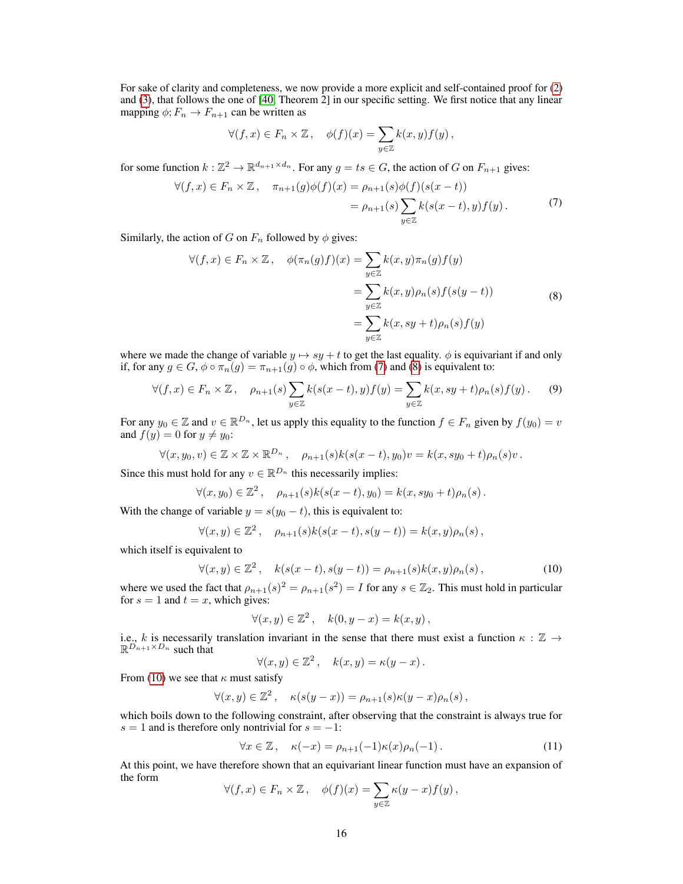For sake of clarity and completeness, we now provide a more explicit and self-contained proof for (2) and (3), that follows the one of [40, Theorem 2] in our specific setting. We first notice that any linear mapping  $\phi$ ;  $F_n \to F_{n+1}$  can be written as

<span id="page-2-1"></span><span id="page-2-0"></span>
$$
\forall (f,x)\in F_n\times\mathbb{Z}\,,\quad \phi(f)(x)=\sum_{y\in\mathbb{Z}}k(x,y)f(y)\,,
$$

for some function  $k : \mathbb{Z}^2 \to \mathbb{R}^{d_{n+1} \times d_n}$ . For any  $g = ts \in G$ , the action of G on  $F_{n+1}$  gives:

$$
\forall (f, x) \in F_n \times \mathbb{Z}, \quad \pi_{n+1}(g)\phi(f)(x) = \rho_{n+1}(s)\phi(f)(s(x-t))
$$

$$
= \rho_{n+1}(s)\sum_{y \in \mathbb{Z}} k(s(x-t), y)f(y).
$$
(7)

Similarly, the action of G on  $F_n$  followed by  $\phi$  gives:

$$
\forall (f, x) \in F_n \times \mathbb{Z}, \quad \phi(\pi_n(g)f)(x) = \sum_{y \in \mathbb{Z}} k(x, y)\pi_n(g)f(y)
$$

$$
= \sum_{y \in \mathbb{Z}} k(x, y)\rho_n(s)f(s(y - t))
$$

$$
= \sum_{y \in \mathbb{Z}} k(x, sy + t)\rho_n(s)f(y)
$$
(8)

where we made the change of variable  $y \mapsto sy + t$  to get the last equality.  $\phi$  is equivariant if and only if, for any  $g \in G$ ,  $\phi \circ \pi_n(g) = \pi_{n+1}(g) \circ \phi$ , which from [\(7\)](#page-2-0) and [\(8\)](#page-2-1) is equivalent to:

$$
\forall (f, x) \in F_n \times \mathbb{Z}, \quad \rho_{n+1}(s) \sum_{y \in \mathbb{Z}} k(s(x - t), y) f(y) = \sum_{y \in \mathbb{Z}} k(x, sy + t) \rho_n(s) f(y).
$$
 (9)

For any  $y_0 \in \mathbb{Z}$  and  $v \in \mathbb{R}^{D_n}$ , let us apply this equality to the function  $f \in F_n$  given by  $f(y_0) = v$ and  $f(y) = 0$  for  $y \neq y_0$ :

$$
\forall (x, y_0, v) \in \mathbb{Z} \times \mathbb{Z} \times \mathbb{R}^{D_n}, \quad \rho_{n+1}(s)k(s(x-t), y_0)v = k(x, sy_0 + t)\rho_n(s)v.
$$

Since this must hold for any  $v \in \mathbb{R}^{D_n}$  this necessarily implies:

<span id="page-2-4"></span>
$$
\forall (x, y_0) \in \mathbb{Z}^2 \,, \quad \rho_{n+1}(s)k(s(x-t), y_0) = k(x, sy_0 + t)\rho_n(s) \,.
$$

With the change of variable  $y = s(y_0 - t)$ , this is equivalent to:

<span id="page-2-2"></span>
$$
\forall (x, y) \in \mathbb{Z}^2, \quad \rho_{n+1}(s)k(s(x-t), s(y-t)) = k(x, y)\rho_n(s),
$$

which itself is equivalent to

$$
\forall (x, y) \in \mathbb{Z}^2, \quad k(s(x - t), s(y - t)) = \rho_{n+1}(s)k(x, y)\rho_n(s), \tag{10}
$$

where we used the fact that  $\rho_{n+1}(s)^2 = \rho_{n+1}(s^2) = I$  for any  $s \in \mathbb{Z}_2$ . This must hold in particular for  $s = 1$  and  $t = x$ , which gives:

$$
\forall (x, y) \in \mathbb{Z}^2 \,, \quad k(0, y - x) = k(x, y) \,,
$$

i.e., k is necessarily translation invariant in the sense that there must exist a function  $\kappa : \mathbb{Z} \to$  $\mathbb{R}^{D_{n+1}\times D_n}$  such that

$$
\forall (x, y) \in \mathbb{Z}^2 \,, \quad k(x, y) = \kappa(y - x) \,.
$$

From [\(10\)](#page-2-2) we see that  $\kappa$  must satisfy

$$
\forall (x,y) \in \mathbb{Z}^2 \,, \quad \kappa(s(y-x)) = \rho_{n+1}(s)\kappa(y-x)\rho_n(s) \,,
$$

which boils down to the following constraint, after observing that the constraint is always true for  $s = 1$  and is therefore only nontrivial for  $s = -1$ :

<span id="page-2-3"></span>
$$
\forall x \in \mathbb{Z}, \quad \kappa(-x) = \rho_{n+1}(-1)\kappa(x)\rho_n(-1). \tag{11}
$$

At this point, we have therefore shown that an equivariant linear function must have an expansion of the form

$$
\forall (f, x) \in F_n \times \mathbb{Z}, \quad \phi(f)(x) = \sum_{y \in \mathbb{Z}} \kappa(y - x) f(y),
$$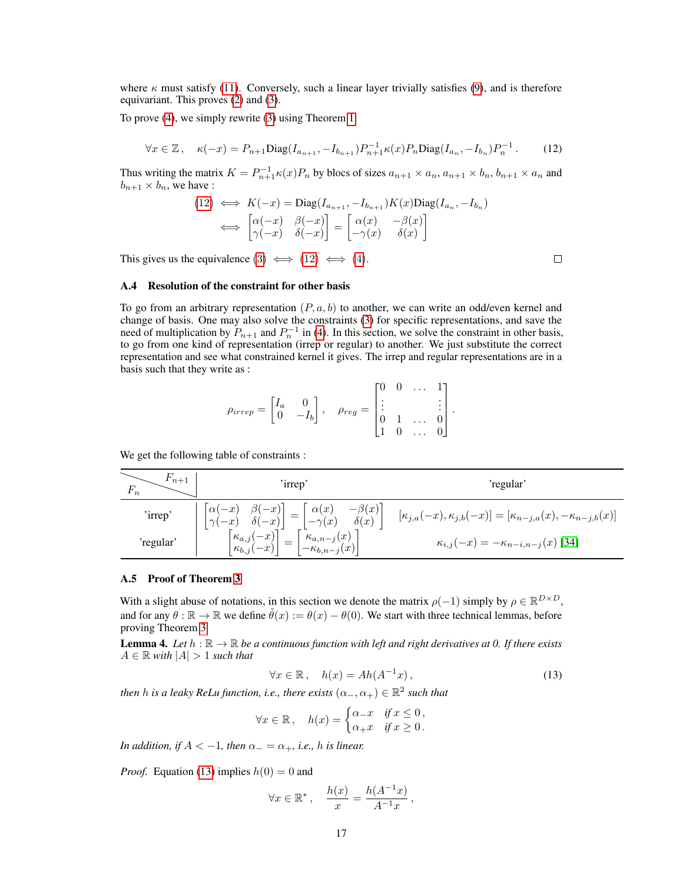where  $\kappa$  must satisfy [\(11\)](#page-2-3). Conversely, such a linear layer trivially satisfies [\(9\)](#page-2-4), and is therefore equivariant. This proves (2) and (3).

<span id="page-3-0"></span>To prove (4), we simply rewrite (3) using Theorem 1:

$$
\forall x \in \mathbb{Z}, \quad \kappa(-x) = P_{n+1} \text{Diag}(I_{a_{n+1}}, -I_{b_{n+1}}) P_{n+1}^{-1} \kappa(x) P_n \text{Diag}(I_{a_n}, -I_{b_n}) P_n^{-1}.
$$
 (12)

Thus writing the matrix  $K = P_{n+1}^{-1} \kappa(x) P_n$  by blocs of sizes  $a_{n+1} \times a_n$ ,  $a_{n+1} \times b_n$ ,  $b_{n+1} \times a_n$  and  $b_{n+1} \times b_n$ , we have :

$$
(12) \iff K(-x) = \text{Diag}(I_{a_{n+1}}, -I_{b_{n+1}})K(x)\text{Diag}(I_{a_n}, -I_{b_n})
$$

$$
\iff \begin{bmatrix} \alpha(-x) & \beta(-x) \\ \gamma(-x) & \delta(-x) \end{bmatrix} = \begin{bmatrix} \alpha(x) & -\beta(x) \\ -\gamma(x) & \delta(x) \end{bmatrix}
$$

 $\Box$ 

This gives us the equivalence  $(3) \iff (12) \iff (4)$  $(3) \iff (12) \iff (4)$  $(3) \iff (12) \iff (4)$ .

#### A.4 Resolution of the constraint for other basis

To go from an arbitrary representation  $(P, a, b)$  to another, we can write an odd/even kernel and change of basis. One may also solve the constraints (3) for specific representations, and save the need of multiplication by  $P_{n+1}$  and  $P_n^{-1}$  in (4). In this section, we solve the constraint in other basis, to go from one kind of representation (irrep or regular) to another. We just substitute the correct representation and see what constrained kernel it gives. The irrep and regular representations are in a basis such that they write as :

$$
\rho_{irrep} = \begin{bmatrix} I_a & 0 \\ 0 & -I_b \end{bmatrix}, \quad \rho_{reg} = \begin{bmatrix} 0 & 0 & \cdots & 1 \\ \vdots & & & \vdots \\ 0 & 1 & \cdots & 0 \\ 1 & 0 & \cdots & 0 \end{bmatrix}.
$$

We get the following table of constraints :

| $r_{n+1}$ | irrep <sup>3</sup>                                                                                                                                                | 'regular'                                                                        |
|-----------|-------------------------------------------------------------------------------------------------------------------------------------------------------------------|----------------------------------------------------------------------------------|
| 'irrep'   | $\begin{bmatrix} \alpha(-x) & \beta(-x) \\ \gamma(-x) & \delta(-x) \end{bmatrix} = \begin{bmatrix} \alpha(x) & -\beta(x) \\ -\gamma(x) & \delta(x) \end{bmatrix}$ | $[\kappa_{j,a}(-x), \kappa_{j,b}(-x)] = [\kappa_{n-j,a}(x), -\kappa_{n-j,b}(x)]$ |
| 'regular' | $\lceil \kappa_{a,j}(-x) \rceil$<br>$\left[\kappa_{a,n-j}(x)\right]$<br>$1 - \kappa_{b,n-j}(x)$<br>$\kappa_{b,j}$                                                 | $\kappa_{i,j}(-x) = -\kappa_{n-i,n-j}(x)$ [34]                                   |

## A.5 Proof of Theorem 3

With a slight abuse of notations, in this section we denote the matrix  $\rho(-1)$  simply by  $\rho \in \mathbb{R}^{D \times D}$ , and for any  $\theta : \mathbb{R} \to \mathbb{R}$  we define  $\tilde{\theta}(x) := \theta(x) - \theta(0)$ . We start with three technical lemmas, before proving Theorem 3.

<span id="page-3-2"></span>**Lemma 4.** Let  $h : \mathbb{R} \to \mathbb{R}$  be a continuous function with left and right derivatives at 0. If there exists  $A \in \mathbb{R}$  with  $|A| > 1$  *such that* 

<span id="page-3-1"></span>
$$
\forall x \in \mathbb{R}, \quad h(x) = Ah(A^{-1}x), \tag{13}
$$

then  $h$  is a leaky ReLu function, i.e., there exists  $(\alpha_{-}, \alpha_{+}) \in \mathbb{R}^{2}$  such that

$$
\forall x \in \mathbb{R}, \quad h(x) = \begin{cases} \alpha_{-}x & \text{if } x \leq 0, \\ \alpha_{+}x & \text{if } x \geq 0. \end{cases}
$$

*In addition, if*  $A < -1$ *, then*  $\alpha_{-} = \alpha_{+}$ *, i.e., h is linear.* 

*Proof.* Equation [\(13\)](#page-3-1) implies  $h(0) = 0$  and

$$
\forall x \in \mathbb{R}^*, \quad \frac{h(x)}{x} = \frac{h(A^{-1}x)}{A^{-1}x},
$$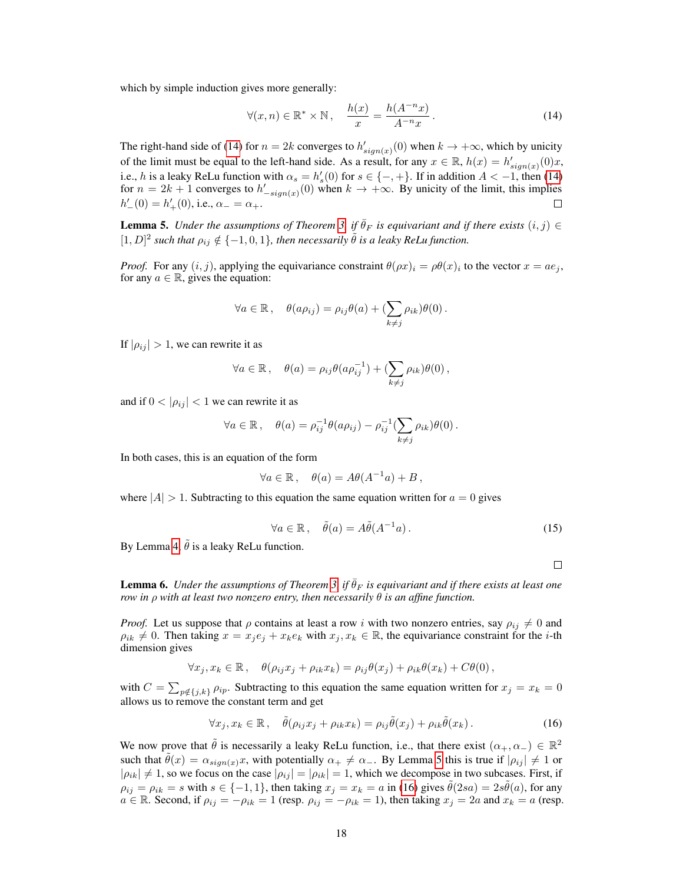which by simple induction gives more generally:

<span id="page-4-0"></span>
$$
\forall (x, n) \in \mathbb{R}^* \times \mathbb{N}, \quad \frac{h(x)}{x} = \frac{h(A^{-n}x)}{A^{-n}x}.
$$
 (14)

The right-hand side of [\(14\)](#page-4-0) for  $n = 2k$  converges to  $h'_{sign(x)}(0)$  when  $k \to +\infty$ , which by unicity of the limit must be equal to the left-hand side. As a result, for any  $x \in \mathbb{R}$ ,  $h(x) = h'_{sign(x)}(0)x$ , i.e., h is a leaky ReLu function with  $\alpha_s = h'_s(0)$  for  $s \in \{-, +\}$ . If in addition  $A < -1$ , then [\(14\)](#page-4-0) for  $n = 2k + 1$  converges to  $h'_{-sign(x)}(0)$  when  $k \to +\infty$ . By unicity of the limit, this implies  $h'_{-}(0) = h'_{+}(0)$ , i.e.,  $\alpha_{-} = \alpha_{+}$ . П

<span id="page-4-1"></span>**Lemma 5.** *Under the assumptions of Theorem 3, if*  $\bar{\theta}_F$  *is equivariant and if there exists*  $(i, j) \in$  $[1, D]^2$  such that  $\rho_{ij} \notin \{-1, 0, 1\}$ , then necessarily  $\tilde{\theta}$  *is a leaky ReLu function.* 

*Proof.* For any  $(i, j)$ , applying the equivariance constraint  $\theta(\rho x)_i = \rho \theta(x)_i$  to the vector  $x = a e_j$ , for any  $a \in \mathbb{R}$ , gives the equation:

$$
\forall a \in \mathbb{R}, \quad \theta(a\rho_{ij}) = \rho_{ij}\theta(a) + \left(\sum_{k \neq j} \rho_{ik}\right)\theta(0).
$$

If  $|\rho_{ij}| > 1$ , we can rewrite it as

$$
\forall a \in \mathbb{R}, \quad \theta(a) = \rho_{ij}\theta(a\rho_{ij}^{-1}) + \left(\sum_{k \neq j} \rho_{ik}\right)\theta(0),
$$

and if  $0 < |\rho_{ij}| < 1$  we can rewrite it as

$$
\forall a \in \mathbb{R}, \quad \theta(a) = \rho_{ij}^{-1} \theta(a \rho_{ij}) - \rho_{ij}^{-1} (\sum_{k \neq j} \rho_{ik}) \theta(0).
$$

In both cases, this is an equation of the form

$$
\forall a \in \mathbb{R}, \quad \theta(a) = A\theta(A^{-1}a) + B,
$$

where  $|A| > 1$ . Subtracting to this equation the same equation written for  $a = 0$  gives

$$
\forall a \in \mathbb{R}, \quad \tilde{\theta}(a) = A\tilde{\theta}(A^{-1}a). \tag{15}
$$

By Lemma [4,](#page-3-2)  $\tilde{\theta}$  is a leaky ReLu function.

$$
\Box
$$

<span id="page-4-3"></span>**Lemma 6.** *Under the assumptions of Theorem 3, if*  $\hat{\theta}_F$  *is equivariant and if there exists at least one row in* ρ *with at least two nonzero entry, then necessarily* θ *is an affine function.*

*Proof.* Let us suppose that  $\rho$  contains at least a row i with two nonzero entries, say  $\rho_{ij} \neq 0$  and  $\rho_{ik} \neq 0$ . Then taking  $x = x_i e_j + x_k e_k$  with  $x_j, x_k \in \mathbb{R}$ , the equivariance constraint for the *i*-th dimension gives

$$
\forall x_j, x_k \in \mathbb{R}, \quad \theta(\rho_{ij}x_j + \rho_{ik}x_k) = \rho_{ij}\theta(x_j) + \rho_{ik}\theta(x_k) + C\theta(0),
$$

with  $C = \sum_{p \notin \{j,k\}} \rho_{ip}$ . Subtracting to this equation the same equation written for  $x_j = x_k = 0$ allows us to remove the constant term and get

<span id="page-4-2"></span>
$$
\forall x_j, x_k \in \mathbb{R}, \quad \tilde{\theta}(\rho_{ij}x_j + \rho_{ik}x_k) = \rho_{ij}\tilde{\theta}(x_j) + \rho_{ik}\tilde{\theta}(x_k). \tag{16}
$$

We now prove that  $\tilde{\theta}$  is necessarily a leaky ReLu function, i.e., that there exist  $(\alpha_+, \alpha_-) \in \mathbb{R}^2$ such that  $\tilde{\theta}(x) = \alpha_{sign(x)}x$ , with potentially  $\alpha_+ \neq \alpha_-$ . By Lemma [5](#page-4-1) this is true if  $|\rho_{ij}| \neq 1$  or  $|\rho_{ik}| \neq 1$ , so we focus on the case  $|\rho_{ij}| = |\rho_{ik}| = 1$ , which we decompose in two subcases. First, if  $\rho_{ij} = \rho_{ik} = s$  with  $s \in \{-1, 1\}$ , then taking  $x_j = x_k = a$  in [\(16\)](#page-4-2) gives  $\tilde{\theta}(2sa) = 2s\tilde{\theta}(a)$ , for any  $a \in \mathbb{R}$ . Second, if  $\rho_{ij} = -\rho_{ik} = 1$  (resp.  $\rho_{ij} = -\rho_{ik} = 1$ ), then taking  $x_j = 2a$  and  $x_k = a$  (resp.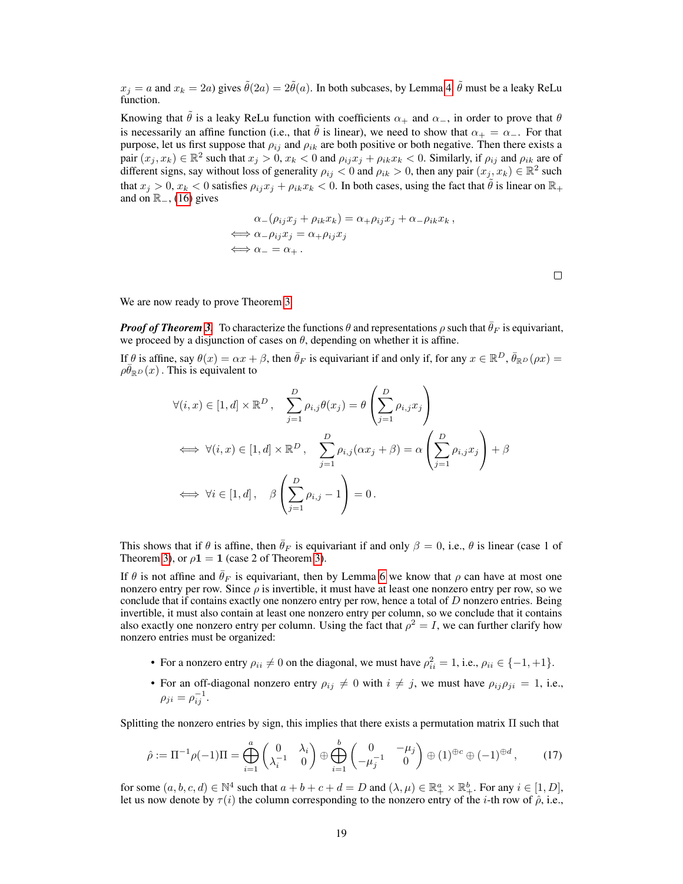$x_i = a$  and  $x_k = 2a$ ) gives  $\tilde{\theta}(2a) = 2\tilde{\theta}(a)$ . In both subcases, by Lemma [4,](#page-3-2)  $\tilde{\theta}$  must be a leaky ReLu function.

Knowing that  $\hat{\theta}$  is a leaky ReLu function with coefficients  $\alpha_+$  and  $\alpha_-$ , in order to prove that  $\theta$ is necessarily an affine function (i.e., that  $\tilde{\theta}$  is linear), we need to show that  $\alpha_+ = \alpha_-$ . For that purpose, let us first suppose that  $\rho_{ij}$  and  $\rho_{ik}$  are both positive or both negative. Then there exists a pair  $(x_j, x_k) \in \mathbb{R}^2$  such that  $x_j > 0$ ,  $x_k < 0$  and  $\rho_{ij} x_j + \rho_{ik} x_k < 0$ . Similarly, if  $\rho_{ij}$  and  $\rho_{ik}$  are of different signs, say without loss of generality  $\rho_{ij} < 0$  and  $\rho_{ik} > 0$ , then any pair  $(x_j, x_k) \in \mathbb{R}^2$  such that  $x_j > 0$ ,  $x_k < 0$  satisfies  $\rho_{ij} x_j + \rho_{ik} x_k < 0$ . In both cases, using the fact that  $\tilde{\theta}$  is linear on  $\mathbb{R}_+$ and on  $\mathbb{R}_-,$  [\(16\)](#page-4-2) gives

$$
\alpha_{-}(\rho_{ij}x_{j} + \rho_{ik}x_{k}) = \alpha_{+}\rho_{ij}x_{j} + \alpha_{-}\rho_{ik}x_{k},
$$
  
\n
$$
\iff \alpha_{-}\rho_{ij}x_{j} = \alpha_{+}\rho_{ij}x_{j}
$$
  
\n
$$
\iff \alpha_{-} = \alpha_{+}.
$$

 $\Box$ 

We are now ready to prove Theorem 3.

*Proof of Theorem* 3. To characterize the functions  $\theta$  and representations  $\rho$  such that  $\bar{\theta}_F$  is equivariant, we proceed by a disjunction of cases on  $\theta$ , depending on whether it is affine.

If  $\theta$  is affine, say  $\theta(x) = \alpha x + \beta$ , then  $\bar{\theta}_F$  is equivariant if and only if, for any  $x \in \mathbb{R}^D$ ,  $\bar{\theta}_{\mathbb{R}^D}(\rho x) =$  $\rho \overline{\theta}_{\mathbb{R}^D}(x)$ . This is equivalent to

$$
\forall (i, x) \in [1, d] \times \mathbb{R}^{D}, \quad \sum_{j=1}^{D} \rho_{i,j} \theta(x_j) = \theta \left( \sum_{j=1}^{D} \rho_{i,j} x_j \right)
$$
  

$$
\iff \forall (i, x) \in [1, d] \times \mathbb{R}^{D}, \quad \sum_{j=1}^{D} \rho_{i,j} (\alpha x_j + \beta) = \alpha \left( \sum_{j=1}^{D} \rho_{i,j} x_j \right) + \beta
$$
  

$$
\iff \forall i \in [1, d], \quad \beta \left( \sum_{j=1}^{D} \rho_{i,j} - 1 \right) = 0.
$$

This shows that if  $\theta$  is affine, then  $\bar{\theta}_F$  is equivariant if and only  $\beta = 0$ , i.e.,  $\theta$  is linear (case 1 of Theorem 3), or  $\rho$ **1** = **1** (case 2 of Theorem 3).

If  $\theta$  is not affine and  $\bar{\theta}_F$  is equivariant, then by Lemma [6](#page-4-3) we know that  $\rho$  can have at most one nonzero entry per row. Since  $\rho$  is invertible, it must have at least one nonzero entry per row, so we conclude that if contains exactly one nonzero entry per row, hence a total of  $D$  nonzero entries. Being invertible, it must also contain at least one nonzero entry per column, so we conclude that it contains also exactly one nonzero entry per column. Using the fact that  $\rho^2 = I$ , we can further clarify how nonzero entries must be organized:

- For a nonzero entry  $\rho_{ii} \neq 0$  on the diagonal, we must have  $\rho_{ii}^2 = 1$ , i.e.,  $\rho_{ii} \in \{-1, +1\}$ .
- <span id="page-5-0"></span>• For an off-diagonal nonzero entry  $\rho_{ij} \neq 0$  with  $i \neq j$ , we must have  $\rho_{ij}\rho_{ji} = 1$ , i.e.,  $\rho_{ji} = \rho_{ij}^{-1}.$

Splitting the nonzero entries by sign, this implies that there exists a permutation matrix Π such that

$$
\hat{\rho} := \Pi^{-1} \rho(-1) \Pi = \bigoplus_{i=1}^{a} \begin{pmatrix} 0 & \lambda_i \\ \lambda_i^{-1} & 0 \end{pmatrix} \oplus \bigoplus_{i=1}^{b} \begin{pmatrix} 0 & -\mu_j \\ -\mu_j^{-1} & 0 \end{pmatrix} \oplus (1)^{\oplus c} \oplus (-1)^{\oplus d}, \quad (17)
$$

for some  $(a, b, c, d) \in \mathbb{N}^4$  such that  $a + b + c + d = D$  and  $(\lambda, \mu) \in \mathbb{R}_+^a \times \mathbb{R}_+^b$ . For any  $i \in [1, D]$ , let us now denote by  $\tau(i)$  the column corresponding to the nonzero entry of the *i*-th row of  $\hat{\rho}$ , i.e.,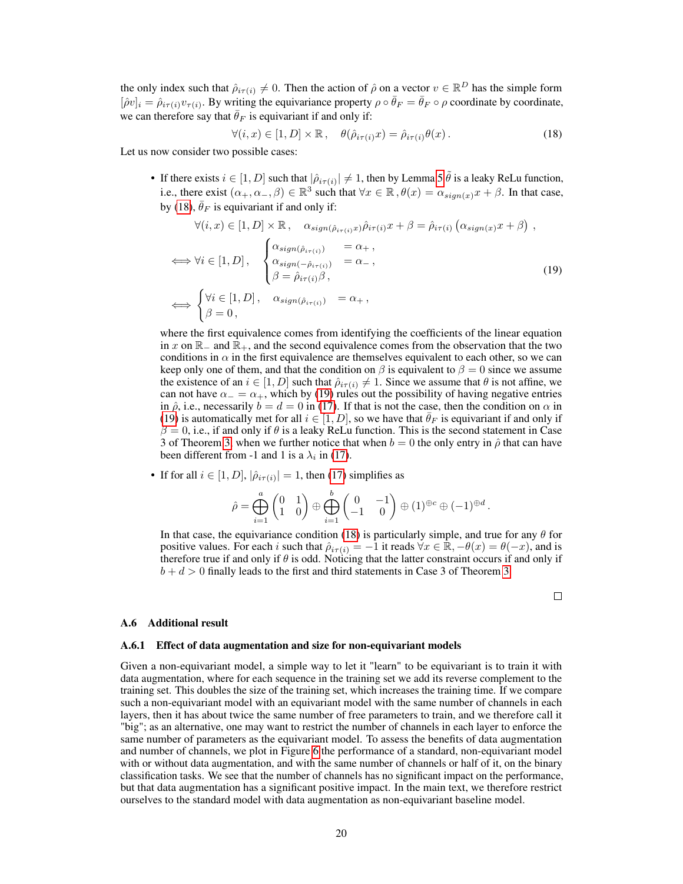the only index such that  $\hat{\rho}_{i\tau(i)} \neq 0$ . Then the action of  $\hat{\rho}$  on a vector  $v \in \mathbb{R}^D$  has the simple form  $[\hat{\rho}v]_i = \hat{\rho}_{i\tau(i)}v_{\tau(i)}$ . By writing the equivariance property  $\rho \circ \bar{\theta}_F = \bar{\theta}_F \circ \rho$  coordinate by coordinate, we can therefore say that  $\bar{\theta}_F$  is equivariant if and only if:

<span id="page-6-1"></span><span id="page-6-0"></span>
$$
\forall (i, x) \in [1, D] \times \mathbb{R}, \quad \theta(\hat{\rho}_{i\tau(i)}x) = \hat{\rho}_{i\tau(i)}\theta(x).
$$
 (18)

Let us now consider two possible cases:

• If there exists  $i \in [1, D]$  such that  $|\hat{\rho}_{i\tau(i)}| \neq 1$ , then by Lemma [5](#page-4-1)  $\tilde{\theta}$  is a leaky ReLu function, i.e., there exist  $(\alpha_+, \alpha_-, \beta) \in \mathbb{R}^3$  such that  $\forall x \in \mathbb{R}, \theta(x) = \alpha_{sign(x)}x + \beta$ . In that case, by [\(18\)](#page-6-0),  $\bar{\theta}_F$  is equivariant if and only if:

$$
\forall (i, x) \in [1, D] \times \mathbb{R}, \quad \alpha_{sign(\hat{\rho}_{i\tau(i)}x)} \hat{\rho}_{i\tau(i)}x + \beta = \hat{\rho}_{i\tau(i)} (\alpha_{sign(x)}x + \beta),
$$
  
\n
$$
\iff \forall i \in [1, D], \quad \begin{cases} \alpha_{sign(\hat{\rho}_{i\tau(i)})} & = \alpha_{+}, \\ \alpha_{sign(-\hat{\rho}_{i\tau(i)})} & = \alpha_{-}, \\ \beta = \hat{\rho}_{i\tau(i)}\beta, \\ \beta = 0, \end{cases}
$$
  
\n
$$
\iff \begin{cases} \forall i \in [1, D], \quad \alpha_{sign(\hat{\rho}_{i\tau(i)})} & = \alpha_{+}, \\ \beta = 0, \end{cases}
$$
\n
$$
(19)
$$

where the first equivalence comes from identifying the coefficients of the linear equation in x on  $\mathbb{R}_-$  and  $\mathbb{R}_+$ , and the second equivalence comes from the observation that the two conditions in  $\alpha$  in the first equivalence are themselves equivalent to each other, so we can keep only one of them, and that the condition on  $\beta$  is equivalent to  $\beta = 0$  since we assume the existence of an  $i \in [1, D]$  such that  $\hat{\rho}_{i\tau(i)} \neq 1$ . Since we assume that  $\theta$  is not affine, we can not have  $\alpha_-=\alpha_+$ , which by [\(19\)](#page-6-1) rules out the possibility of having negative entries in  $\hat{\rho}$ , i.e., necessarily  $b = d = 0$  in [\(17\)](#page-5-0). If that is not the case, then the condition on  $\alpha$  in [\(19\)](#page-6-1) is automatically met for all  $i \in [1, D]$ , so we have that  $\bar{\theta}_F$  is equivariant if and only if  $\beta = 0$ , i.e., if and only if  $\theta$  is a leaky ReLu function. This is the second statement in Case 3 of Theorem 3, when we further notice that when  $b = 0$  the only entry in  $\hat{\rho}$  that can have been different from -1 and 1 is a  $\lambda_i$  in [\(17\)](#page-5-0).

• If for all  $i \in [1, D]$ ,  $|\hat{\rho}_{i\tau(i)}| = 1$ , then [\(17\)](#page-5-0) simplifies as

$$
\hat{\rho} = \bigoplus_{i=1}^a \begin{pmatrix} 0 & 1 \\ 1 & 0 \end{pmatrix} \oplus \bigoplus_{i=1}^b \begin{pmatrix} 0 & -1 \\ -1 & 0 \end{pmatrix} \oplus (1)^{\oplus c} \oplus (-1)^{\oplus d}.
$$

In that case, the equivariance condition [\(18\)](#page-6-0) is particularly simple, and true for any  $\theta$  for positive values. For each i such that  $\hat{\rho}_{i\tau(i)} = -1$  it reads  $\forall x \in \mathbb{R}, -\theta(x) = \theta(-x)$ , and is therefore true if and only if  $\theta$  is odd. Noticing that the latter constraint occurs if and only if  $b + d > 0$  finally leads to the first and third statements in Case 3 of Theorem 3.

 $\Box$ 

#### A.6 Additional result

#### A.6.1 Effect of data augmentation and size for non-equivariant models

Given a non-equivariant model, a simple way to let it "learn" to be equivariant is to train it with data augmentation, where for each sequence in the training set we add its reverse complement to the training set. This doubles the size of the training set, which increases the training time. If we compare such a non-equivariant model with an equivariant model with the same number of channels in each layers, then it has about twice the same number of free parameters to train, and we therefore call it "big"; as an alternative, one may want to restrict the number of channels in each layer to enforce the same number of parameters as the equivariant model. To assess the benefits of data augmentation and number of channels, we plot in Figure [6](#page-7-0) the performance of a standard, non-equivariant model with or without data augmentation, and with the same number of channels or half of it, on the binary classification tasks. We see that the number of channels has no significant impact on the performance, but that data augmentation has a significant positive impact. In the main text, we therefore restrict ourselves to the standard model with data augmentation as non-equivariant baseline model.